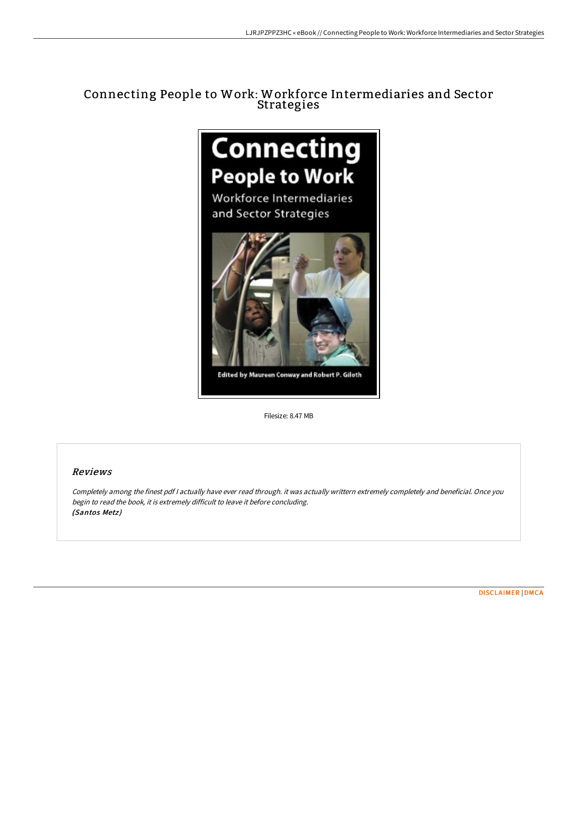# Connecting People to Work: Workforce Intermediaries and Sector Strategies



and Sector Strategies



Edited by Maureen Conway and Robert P. Giloth

Filesize: 8.47 MB

## Reviews

Completely among the finest pdf <sup>I</sup> actually have ever read through. it was actually writtern extremely completely and beneficial. Once you begin to read the book, it is extremely difficult to leave it before concluding. (Santos Metz)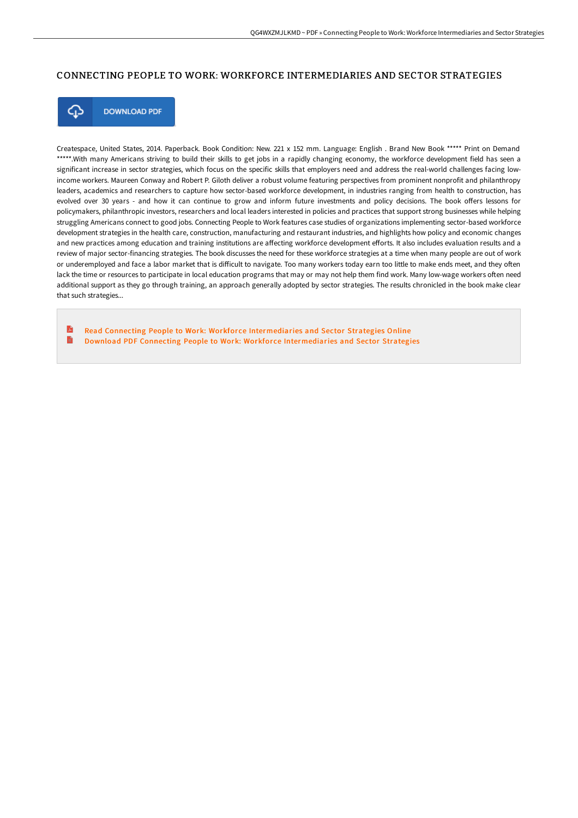### CONNECTING PEOPLE TO WORK: WORKFORCE INTERMEDIARIES AND SECTOR STRATEGIES



**DOWNLOAD PDF** 

Createspace, United States, 2014. Paperback. Book Condition: New. 221 x 152 mm. Language: English . Brand New Book \*\*\*\*\* Print on Demand \*\*\*\*\*.With many Americans striving to build their skills to get jobs in a rapidly changing economy, the workforce development field has seen a significant increase in sector strategies, which focus on the specific skills that employers need and address the real-world challenges facing lowincome workers. Maureen Conway and Robert P. Giloth deliver a robust volume featuring perspectives from prominent nonprofit and philanthropy leaders, academics and researchers to capture how sector-based workforce development, in industries ranging from health to construction, has evolved over 30 years - and how it can continue to grow and inform future investments and policy decisions. The book offers lessons for policymakers, philanthropic investors, researchers and local leaders interested in policies and practices that support strong businesses while helping struggling Americans connect to good jobs. Connecting People to Work features case studies of organizations implementing sector-based workforce development strategies in the health care, construction, manufacturing and restaurant industries, and highlights how policy and economic changes and new practices among education and training institutions are affecting workforce development efforts. It also includes evaluation results and a review of major sector-financing strategies. The book discusses the need for these workforce strategies at a time when many people are out of work or underemployed and face a labor market that is difficult to navigate. Too many workers today earn too little to make ends meet, and they often lack the time or resources to participate in local education programs that may or may not help them find work. Many low-wage workers often need additional support as they go through training, an approach generally adopted by sector strategies. The results chronicled in the book make clear that such strategies...

R Read Connecting People to Work: Workfor ce [Intermediaries](http://bookera.tech/connecting-people-to-work-workforce-intermediari.html) and Sector Strategies Online B Download PDF Connecting People to Work: Workforce [Intermediaries](http://bookera.tech/connecting-people-to-work-workforce-intermediari.html) and Sector Strategies